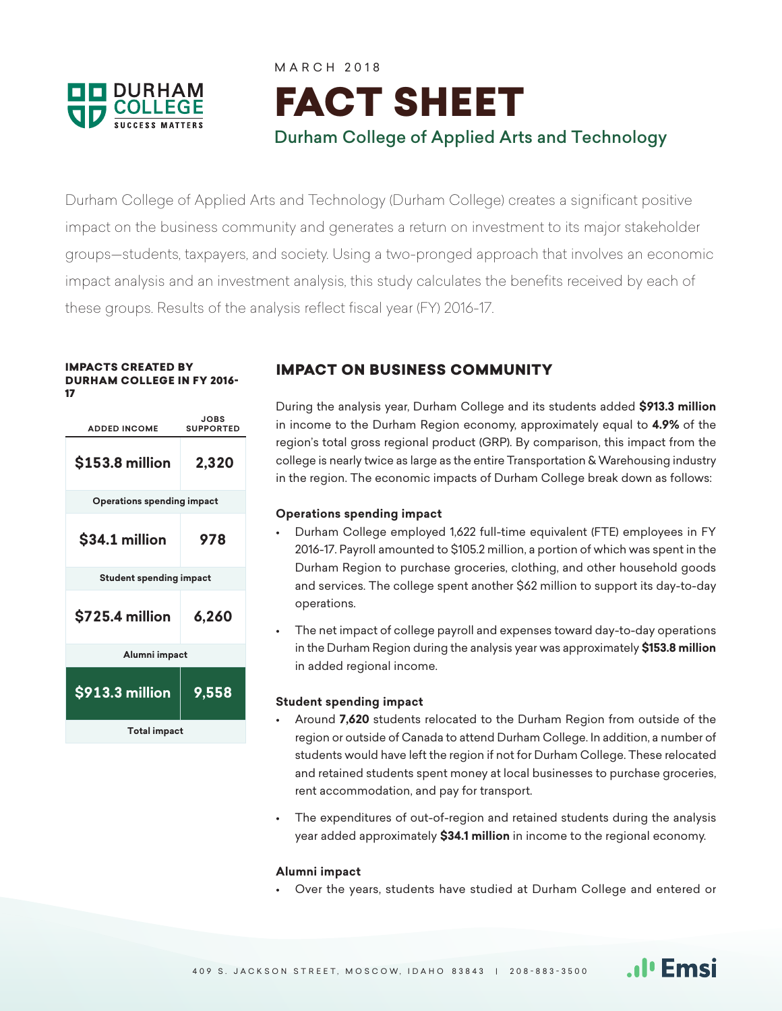

# MARCH 2018 FACT SHEET Durham College of Applied Arts and Technology

Durham College of Applied Arts and Technology (Durham College) creates a significant positive impact on the business community and generates a return on investment to its major stakeholder groups—students, taxpayers, and society. Using a two-pronged approach that involves an economic impact analysis and an investment analysis, this study calculates the benefits received by each of these groups. Results of the analysis reflect fiscal year (FY) 2016-17.

#### IMPACTS CREATED BY DURHAM COLLEGE IN FY 2016- 17

| <b>ADDED INCOME</b>               | JOBS<br><b>SUPPORTED</b> |
|-----------------------------------|--------------------------|
| \$153.8 million                   | 2,320                    |
| <b>Operations spending impact</b> |                          |
| \$34.1 million                    | 978                      |
| <b>Student spending impact</b>    |                          |
| \$725.4 million                   | 6,260                    |
| Alumni impact                     |                          |
| \$913.3 million                   | 9,558                    |
| <b>Total impact</b>               |                          |

## IMPACT ON BUSINESS COMMUNITY

During the analysis year, Durham College and its students added **\$913.3 million**  in income to the Durham Region economy, approximately equal to **4.9%** of the region's total gross regional product (GRP). By comparison, this impact from the college is nearly twice as large as the entire Transportation & Warehousing industry in the region. The economic impacts of Durham College break down as follows:

### **Operations spending impact**

- Durham College employed 1,622 full-time equivalent (FTE) employees in FY 2016-17. Payroll amounted to \$105.2 million, a portion of which was spent in the Durham Region to purchase groceries, clothing, and other household goods and services. The college spent another \$62 million to support its day-to-day operations.
- The net impact of college payroll and expenses toward day-to-day operations in the Durham Region during the analysis year was approximately **\$153.8 million**  in added regional income.

### **Student spending impact**

- Around **7,620** students relocated to the Durham Region from outside of the region or outside of Canada to attend Durham College. In addition, a number of students would have left the region if not for Durham College. These relocated and retained students spent money at local businesses to purchase groceries, rent accommodation, and pay for transport.
- The expenditures of out-of-region and retained students during the analysis year added approximately **\$34.1 million** in income to the regional economy.

### **Alumni impact**

• Over the years, students have studied at Durham College and entered or

**All Emsi**